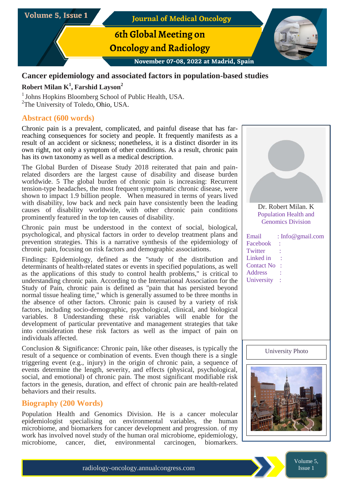

# **Cancer epidemiology and associated factors in population-based studies**

## **Robert Milan K<sup>1</sup> , Farshid Layson<sup>2</sup>**

<sup>1</sup> Johns Hopkins Bloomberg School of Public Health, USA. <sup>2</sup>The University of Toledo, Ohio, USA.

## **Abstract (600 words)**

Chronic pain is a prevalent, complicated, and painful disease that has farreaching consequences for society and people. It frequently manifests as a result of an accident or sickness; nonetheless, it is a distinct disorder in its own right, not only a symptom of other conditions. As a result, chronic pain has its own taxonomy as well as a medical description.

The Global Burden of Disease Study 2018 reiterated that pain and painrelated disorders are the largest cause of disability and disease burden worldwide. 5 The global burden of chronic pain is increasing: Recurrent tension-type headaches, the most frequent symptomatic chronic disease, were shown to impact 1.9 billion people. When measured in terms of years lived with disability, low back and neck pain have consistently been the leading causes of disability worldwide, with other chronic pain conditions prominently featured in the top ten causes of disability.

Chronic pain must be understood in the context of social, biological, psychological, and physical factors in order to develop treatment plans and prevention strategies. This is a narrative synthesis of the epidemiology of chronic pain, focusing on risk factors and demographic associations.

Findings: Epidemiology, defined as the "study of the distribution and determinants of health-related states or events in specified populations, as well as the applications of this study to control health problems," is critical to understanding chronic pain. According to the International Association for the Study of Pain, chronic pain is defined as "pain that has persisted beyond normal tissue healing time," which is generally assumed to be three months in the absence of other factors. Chronic pain is caused by a variety of risk factors, including socio-demographic, psychological, clinical, and biological variables. 8 Understanding these risk variables will enable for the development of particular preventative and management strategies that take into consideration these risk factors as well as the impact of pain on individuals affected.

Conclusion & Significance: Chronic pain, like other diseases, is typically the result of a sequence or combination of events. Even though there is a single triggering event (e.g., injury) in the origin of chronic pain, a sequence of events determine the length, severity, and effects (physical, psychological, social, and emotional) of chronic pain. The most significant modifiable risk factors in the genesis, duration, and effect of chronic pain are health-related behaviors and their results.

### **Biography (200 Words)**

Population Health and Genomics Division. He is a cancer molecular epidemiologist specialising on environmental variables, the human microbiome, and biomarkers for cancer development and progression. of my work has involved novel study of the human oral microbiome, epidemiology, microbiome, cancer, diet, environmental carcinogen, biomarkers.